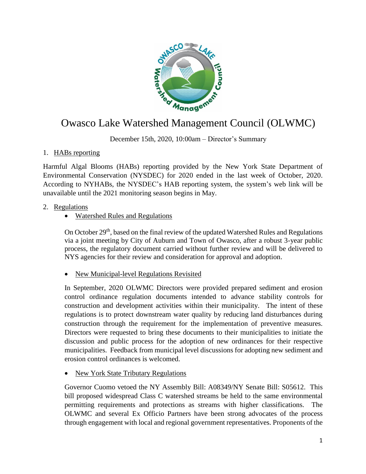

# Owasco Lake Watershed Management Council (OLWMC)

December 15th, 2020, 10:00am – Director's Summary

# 1. HABs reporting

Harmful Algal Blooms (HABs) reporting provided by the New York State Department of Environmental Conservation (NYSDEC) for 2020 ended in the last week of October, 2020. According to NYHABs, the NYSDEC's HAB reporting system, the system's web link will be unavailable until the 2021 monitoring season begins in May.

# 2. Regulations

# Watershed Rules and Regulations

On October 29<sup>th</sup>, based on the final review of the updated Watershed Rules and Regulations via a joint meeting by City of Auburn and Town of Owasco, after a robust 3-year public process, the regulatory document carried without further review and will be delivered to NYS agencies for their review and consideration for approval and adoption.

• New Municipal-level Regulations Revisited

In September, 2020 OLWMC Directors were provided prepared sediment and erosion control ordinance regulation documents intended to advance stability controls for construction and development activities within their municipality. The intent of these regulations is to protect downstream water quality by reducing land disturbances during construction through the requirement for the implementation of preventive measures. Directors were requested to bring these documents to their municipalities to initiate the discussion and public process for the adoption of new ordinances for their respective municipalities. Feedback from municipal level discussions for adopting new sediment and erosion control ordinances is welcomed.

New York State Tributary Regulations

Governor Cuomo vetoed the NY Assembly Bill: A08349/NY Senate Bill: S05612. This bill proposed widespread Class C watershed streams be held to the same environmental permitting requirements and protections as streams with higher classifications. The OLWMC and several Ex Officio Partners have been strong advocates of the process through engagement with local and regional government representatives. Proponents of the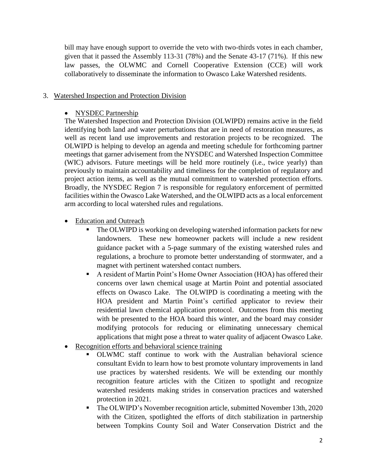bill may have enough support to override the veto with two-thirds votes in each chamber, given that it passed the Assembly 113-31 (78%) and the Senate 43-17 (71%). If this new law passes, the OLWMC and Cornell Cooperative Extension (CCE) will work collaboratively to disseminate the information to Owasco Lake Watershed residents.

## 3. Watershed Inspection and Protection Division

### • NYSDEC Partnership

The Watershed Inspection and Protection Division (OLWIPD) remains active in the field identifying both land and water perturbations that are in need of restoration measures, as well as recent land use improvements and restoration projects to be recognized. The OLWIPD is helping to develop an agenda and meeting schedule for forthcoming partner meetings that garner advisement from the NYSDEC and Watershed Inspection Committee (WIC) advisors. Future meetings will be held more routinely (i.e., twice yearly) than previously to maintain accountability and timeliness for the completion of regulatory and project action items, as well as the mutual commitment to watershed protection efforts. Broadly, the NYSDEC Region 7 is responsible for regulatory enforcement of permitted facilities within the Owasco Lake Watershed, and the OLWIPD acts as a local enforcement arm according to local watershed rules and regulations.

- Education and Outreach
	- The OLWIPD is working on developing watershed information packets for new landowners. These new homeowner packets will include a new resident guidance packet with a 5-page summary of the existing watershed rules and regulations, a brochure to promote better understanding of stormwater, and a magnet with pertinent watershed contact numbers.
	- A resident of Martin Point's Home Owner Association (HOA) has offered their concerns over lawn chemical usage at Martin Point and potential associated effects on Owasco Lake. The OLWIPD is coordinating a meeting with the HOA president and Martin Point's certified applicator to review their residential lawn chemical application protocol. Outcomes from this meeting with be presented to the HOA board this winter, and the board may consider modifying protocols for reducing or eliminating unnecessary chemical applications that might pose a threat to water quality of adjacent Owasco Lake.
- Recognition efforts and behavioral science training
	- OLWMC staff continue to work with the Australian behavioral science consultant Evidn to learn how to best promote voluntary improvements in land use practices by watershed residents. We will be extending our monthly recognition feature articles with the Citizen to spotlight and recognize watershed residents making strides in conservation practices and watershed protection in 2021.
	- The OLWIPD's November recognition article, submitted November 13th, 2020 with the Citizen, spotlighted the efforts of ditch stabilization in partnership between Tompkins County Soil and Water Conservation District and the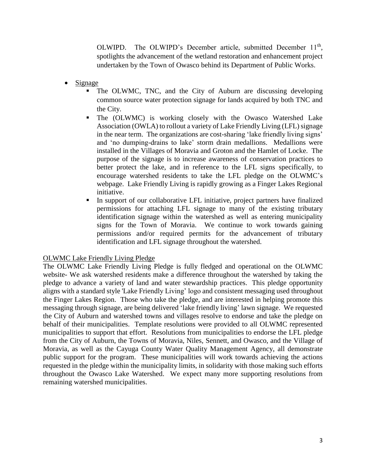OLWIPD. The OLWIPD's December article, submitted December 11<sup>th</sup>, spotlights the advancement of the wetland restoration and enhancement project undertaken by the Town of Owasco behind its Department of Public Works.

- Signage
	- The OLWMC, TNC, and the City of Auburn are discussing developing common source water protection signage for lands acquired by both TNC and the City.
	- The (OLWMC) is working closely with the Owasco Watershed Lake Association (OWLA) to rollout a variety of Lake Friendly Living (LFL) signage in the near term. The organizations are cost-sharing 'lake friendly living signs' and 'no dumping-drains to lake' storm drain medallions. Medallions were installed in the Villages of Moravia and Groton and the Hamlet of Locke. The purpose of the signage is to increase awareness of conservation practices to better protect the lake, and in reference to the LFL signs specifically, to encourage watershed residents to take the LFL pledge on the OLWMC's webpage. Lake Friendly Living is rapidly growing as a Finger Lakes Regional initiative.
	- In support of our collaborative LFL initiative, project partners have finalized permissions for attaching LFL signage to many of the existing tributary identification signage within the watershed as well as entering municipality signs for the Town of Moravia. We continue to work towards gaining permissions and/or required permits for the advancement of tributary identification and LFL signage throughout the watershed.

#### OLWMC Lake Friendly Living Pledge

The OLWMC Lake Friendly Living Pledge is fully fledged and operational on the OLWMC website- We ask watershed residents make a difference throughout the watershed by taking the pledge to advance a variety of land and water stewardship practices. This pledge opportunity aligns with a standard style 'Lake Friendly Living' logo and consistent messaging used throughout the Finger Lakes Region. Those who take the pledge, and are interested in helping promote this messaging through signage, are being delivered 'lake friendly living' lawn signage. We requested the City of Auburn and watershed towns and villages resolve to endorse and take the pledge on behalf of their municipalities. Template resolutions were provided to all OLWMC represented municipalities to support that effort. Resolutions from municipalities to endorse the LFL pledge from the City of Auburn, the Towns of Moravia, Niles, Sennett, and Owasco, and the Village of Moravia, as well as the Cayuga County Water Quality Management Agency, all demonstrate public support for the program. These municipalities will work towards achieving the actions requested in the pledge within the municipality limits, in solidarity with those making such efforts throughout the Owasco Lake Watershed. We expect many more supporting resolutions from remaining watershed municipalities.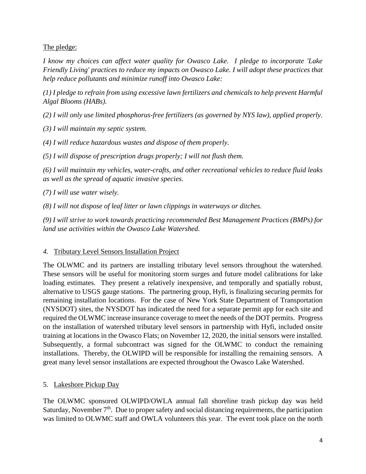# The pledge:

*I know my choices can affect water quality for Owasco Lake. I pledge to incorporate 'Lake Friendly Living' practices to reduce my impacts on Owasco Lake. I will adopt these practices that help reduce pollutants and minimize runoff into Owasco Lake:*

*(1) I pledge to refrain from using excessive lawn fertilizers and chemicals to help prevent Harmful Algal Blooms (HABs).*

*(2) I will only use limited phosphorus-free fertilizers (as governed by NYS law), applied properly.*

*(3) I will maintain my septic system.*

*(4) I will reduce hazardous wastes and dispose of them properly.*

*(5) I will dispose of prescription drugs properly; I will not flush them.*

*(6) I will maintain my vehicles, water-crafts, and other recreational vehicles to reduce fluid leaks as well as the spread of aquatic invasive species.*

*(7) I will use water wisely.*

*(8) I will not dispose of leaf litter or lawn clippings in waterways or ditches.*

*(9) I will strive to work towards practicing recommended Best Management Practices (BMPs) for land use activities within the Owasco Lake Watershed.*

## *4.* Tributary Level Sensors Installation Project

The OLWMC and its partners are installing tributary level sensors throughout the watershed. These sensors will be useful for monitoring storm surges and future model calibrations for lake loading estimates. They present a relatively inexpensive, and temporally and spatially robust, alternative to USGS gauge stations. The partnering group, Hyfi, is finalizing securing permits for remaining installation locations. For the case of New York State Department of Transportation (NYSDOT) sites, the NYSDOT has indicated the need for a separate permit app for each site and required the OLWMC increase insurance coverage to meet the needs of the DOT permits. Progress on the installation of watershed tributary level sensors in partnership with Hyfi, included onsite training at locations in the Owasco Flats; on November 12, 2020, the initial sensors were installed. Subsequently, a formal subcontract was signed for the OLWMC to conduct the remaining installations. Thereby, the OLWIPD will be responsible for installing the remaining sensors. A great many level sensor installations are expected throughout the Owasco Lake Watershed.

# 5. Lakeshore Pickup Day

The OLWMC sponsored OLWIPD/OWLA annual fall shoreline trash pickup day was held Saturday, November  $7<sup>th</sup>$ . Due to proper safety and social distancing requirements, the participation was limited to OLWMC staff and OWLA volunteers this year. The event took place on the north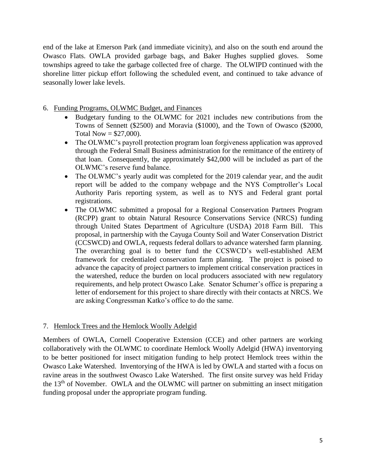end of the lake at Emerson Park (and immediate vicinity), and also on the south end around the Owasco Flats. OWLA provided garbage bags, and Baker Hughes supplied gloves. Some townships agreed to take the garbage collected free of charge. The OLWIPD continued with the shoreline litter pickup effort following the scheduled event, and continued to take advance of seasonally lower lake levels.

- 6. Funding Programs, OLWMC Budget, and Finances
	- Budgetary funding to the OLWMC for 2021 includes new contributions from the Towns of Sennett (\$2500) and Moravia (\$1000), and the Town of Owasco (\$2000, Total Now  $= $27,000$ ).
	- The OLWMC's payroll protection program loan forgiveness application was approved through the Federal Small Business administration for the remittance of the entirety of that loan. Consequently, the approximately \$42,000 will be included as part of the OLWMC's reserve fund balance.
	- The OLWMC's yearly audit was completed for the 2019 calendar year, and the audit report will be added to the company webpage and the NYS Comptroller's Local Authority Paris reporting system, as well as to NYS and Federal grant portal registrations.
	- The OLWMC submitted a proposal for a Regional Conservation Partners Program (RCPP) grant to obtain Natural Resource Conservations Service (NRCS) funding through United States Department of Agriculture (USDA) 2018 Farm Bill. This proposal, in partnership with the Cayuga County Soil and Water Conservation District (CCSWCD) and OWLA, requests federal dollars to advance watershed farm planning. The overarching goal is to better fund the CCSWCD's well-established AEM framework for credentialed conservation farm planning. The project is poised to advance the capacity of project partners to implement critical conservation practices in the watershed, reduce the burden on local producers associated with new regulatory requirements, and help protect Owasco Lake. Senator Schumer's office is preparing a letter of endorsement for this project to share directly with their contacts at NRCS. We are asking Congressman Katko's office to do the same.

## 7. Hemlock Trees and the Hemlock Woolly Adelgid

Members of OWLA, Cornell Cooperative Extension (CCE) and other partners are working collaboratively with the OLWMC to coordinate Hemlock Woolly Adelgid (HWA) inventorying to be better positioned for insect mitigation funding to help protect Hemlock trees within the Owasco Lake Watershed. Inventorying of the HWA is led by OWLA and started with a focus on ravine areas in the southwest Owasco Lake Watershed. The first onsite survey was held Friday the 13<sup>th</sup> of November. OWLA and the OLWMC will partner on submitting an insect mitigation funding proposal under the appropriate program funding.